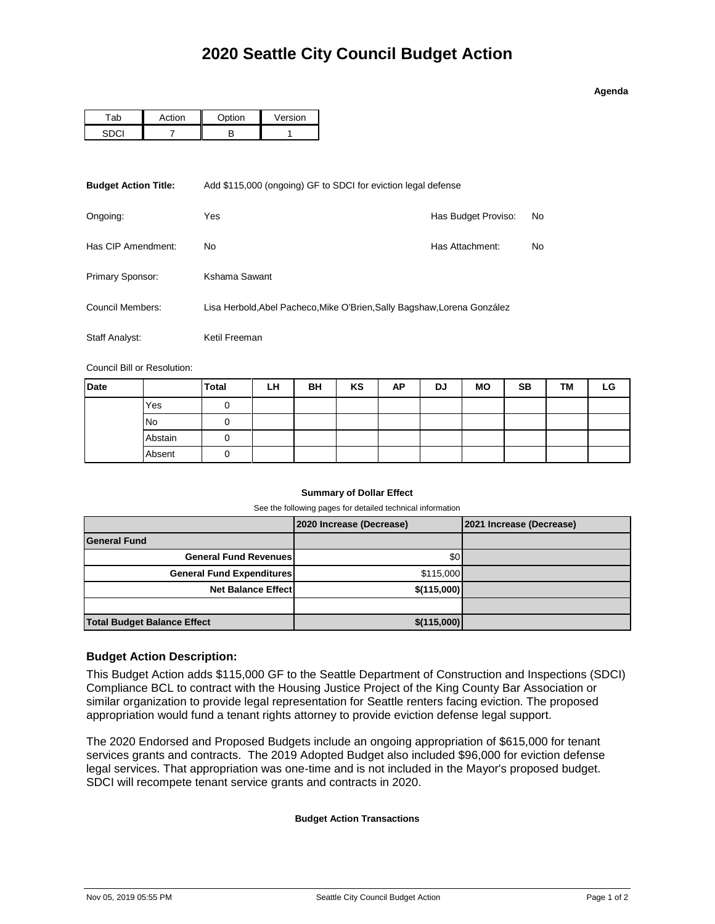### **Agenda**

| ction | <b>Option</b> | Version |  |  |
|-------|---------------|---------|--|--|
|       |               |         |  |  |

| <b>Budget Action Title:</b> | Add \$115,000 (ongoing) GF to SDCI for eviction legal defense            |                     |    |  |  |  |
|-----------------------------|--------------------------------------------------------------------------|---------------------|----|--|--|--|
| Ongoing:                    | Yes                                                                      | Has Budget Proviso: | No |  |  |  |
| Has CIP Amendment:          | Has Attachment:<br>No.                                                   |                     |    |  |  |  |
| Primary Sponsor:            | Kshama Sawant                                                            |                     |    |  |  |  |
| Council Members:            | Lisa Herbold, Abel Pacheco, Mike O'Brien, Sally Bagshaw, Lorena González |                     |    |  |  |  |
| Staff Analyst:              | Ketil Freeman                                                            |                     |    |  |  |  |

Council Bill or Resolution:

| <b>Date</b> |           | <b>Total</b> | LH | BH | KS | ΑP | DJ | <b>MO</b> | <b>SB</b> | TM | LG |
|-------------|-----------|--------------|----|----|----|----|----|-----------|-----------|----|----|
|             | Yes       |              |    |    |    |    |    |           |           |    |    |
|             | <b>No</b> |              |    |    |    |    |    |           |           |    |    |
|             | Abstain   |              |    |    |    |    |    |           |           |    |    |
|             | Absent    |              |    |    |    |    |    |           |           |    |    |

## **Summary of Dollar Effect**

See the following pages for detailed technical information

|                                    | 2020 Increase (Decrease) | 2021 Increase (Decrease) |
|------------------------------------|--------------------------|--------------------------|
| <b>General Fund</b>                |                          |                          |
| <b>General Fund Revenues</b>       | \$0                      |                          |
| <b>General Fund Expenditures</b>   | \$115,000                |                          |
| <b>Net Balance Effect</b>          | \$(115,000)              |                          |
|                                    |                          |                          |
| <b>Total Budget Balance Effect</b> | \$(115,000)              |                          |

## **Budget Action Description:**

This Budget Action adds \$115,000 GF to the Seattle Department of Construction and Inspections (SDCI) Compliance BCL to contract with the Housing Justice Project of the King County Bar Association or similar organization to provide legal representation for Seattle renters facing eviction. The proposed appropriation would fund a tenant rights attorney to provide eviction defense legal support.

The 2020 Endorsed and Proposed Budgets include an ongoing appropriation of \$615,000 for tenant services grants and contracts. The 2019 Adopted Budget also included \$96,000 for eviction defense legal services. That appropriation was one-time and is not included in the Mayor's proposed budget. SDCI will recompete tenant service grants and contracts in 2020.

### **Budget Action Transactions**